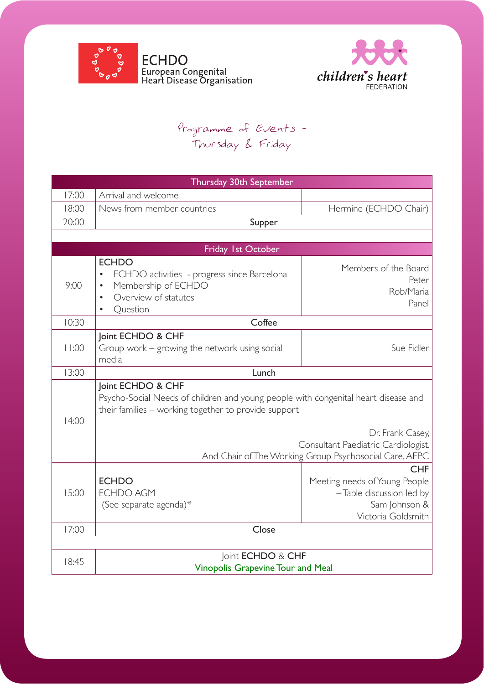



## Programme of Events - Thursday & Friday

| Thursday 30th September |                                                                                                                                                                                                                            |                                                                                                                   |  |
|-------------------------|----------------------------------------------------------------------------------------------------------------------------------------------------------------------------------------------------------------------------|-------------------------------------------------------------------------------------------------------------------|--|
| 17:00                   | Arrival and welcome                                                                                                                                                                                                        |                                                                                                                   |  |
| 18:00                   | News from member countries                                                                                                                                                                                                 | Hermine (ECHDO Chair)                                                                                             |  |
| 20:00                   | Supper                                                                                                                                                                                                                     |                                                                                                                   |  |
|                         |                                                                                                                                                                                                                            |                                                                                                                   |  |
| Friday 1st October      |                                                                                                                                                                                                                            |                                                                                                                   |  |
| 9:00                    | <b>ECHDO</b><br>ECHDO activities - progress since Barcelona<br>Membership of ECHDO<br>$\bullet$<br>Overview of statutes<br>Question                                                                                        | Members of the Board<br>Peter<br>Rob/Maria<br>Panel                                                               |  |
| 10:30                   | Coffee                                                                                                                                                                                                                     |                                                                                                                   |  |
| 11:00                   | Joint ECHDO & CHF<br>Group work – growing the network using social<br>media                                                                                                                                                | Sue Fidler                                                                                                        |  |
| 13:00                   | Lunch                                                                                                                                                                                                                      |                                                                                                                   |  |
| 14:00                   | Joint ECHDO & CHF<br>Psycho-Social Needs of children and young people with congenital heart disease and<br>their families - working together to provide support<br>Dr. Frank Casey,<br>Consultant Paediatric Cardiologist. |                                                                                                                   |  |
|                         | And Chair of The Working Group Psychosocial Care, AEPC                                                                                                                                                                     |                                                                                                                   |  |
| 15:00                   | <b>ECHDO</b><br><b>ECHDO AGM</b><br>(See separate agenda)*                                                                                                                                                                 | <b>CHF</b><br>Meeting needs of Young People<br>$-$ Table discussion led by<br>Sam Johnson &<br>Victoria Goldsmith |  |
| 17:00                   | Close                                                                                                                                                                                                                      |                                                                                                                   |  |
|                         |                                                                                                                                                                                                                            |                                                                                                                   |  |
| 18:45                   | Joint ECHDO & CHF<br><b>Vinopolis Grapevine Tour and Meal</b>                                                                                                                                                              |                                                                                                                   |  |